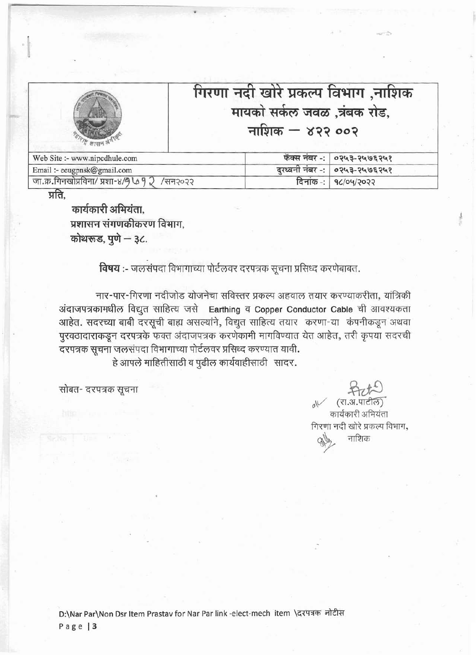|                               | गिरणा नदी खोरे प्रकल्प विभाग ,नाशिक<br>मायको सर्कल जवळ ,त्रंबक रोड,<br>नाशिक $-$ ४२२ ००२ |
|-------------------------------|------------------------------------------------------------------------------------------|
| Web Site :- www.nipcdhule.com | फॅक्स नंबर -:   ०२५३-२५७६२५१                                                             |
| Email :- eeugpnsk@gmail.com   | दुरध्वनी नंबर -:<br>०२५३-२५७६२५१                                                         |

प्रति.

कार्यकारी अभियंता. प्रशासन संगणकीकरण विभाग,<br>कोथरूड, पुणे — ३८.

जा.क्र.गिनखोप्रविना/ प्रशा-४/9 L 9 2 /सन२०२२

**विषय :-** जलसंपदा विभागाच्या पोर्टलवर दरपत्रक सूचना प्रसिध्द करणेबाबत.<br>नार-पार-गिरणा नदीजोड योजनेचा सविस्तर प्रकल्प अहवाल तयार करण्याकरीता, यांत्रिकी अंदाजपत्रकामधील विद्युत साहित्य जसे Earthing व Copper Conductor Cable ची आवश्यकता आहेत. सदरच्या बाबी दरसूची बाह्य असल्यांने, विद्युत साहित्य तयार करणा-या कंपनीकडून अथवा पुरवठादाराकडून दरपत्रके फक्त अंदाजपत्रक करणेकामी मागविण्यात येत आहेत, तरी कृपया सदरची<br>दरपत्रक सूचना जलसंपदा विभागाच्या पोर्टलवर प्रसिध्द करण्यात यावी. हे आपले माहितीसाठी व पुढील कार्यवाहीसाठी सादर.

सोबत- दरपत्रक सूचना

 $\sim$  (रा.अ.पाटील) कार्यकारी अभियंता गिरणा नदी खोरे प्रकल्प विभाग, नाशिक

 $\overline{\mathsf{G}}$ नांक $\overline{\mathsf{F}}$ 

**qc/o~/?o??**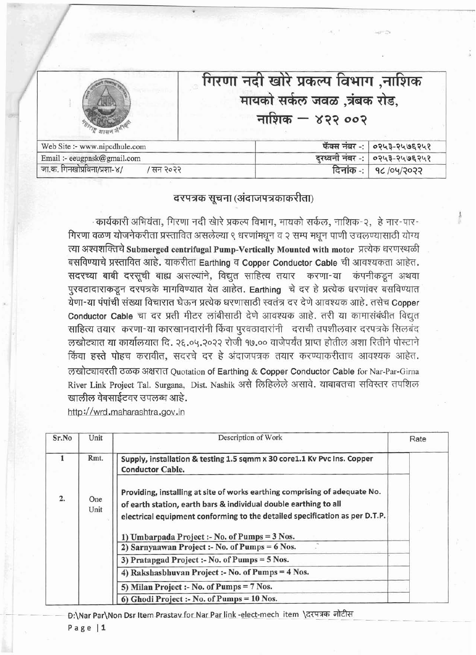|                               | गिरणा नदी खोरे प्रकल्प विभाग ,नाशिक<br>मायको सर्कल जवळ ,त्रंबक रोड,<br>नाशिक $-$ ४२२ ००२ |              |
|-------------------------------|------------------------------------------------------------------------------------------|--------------|
|                               |                                                                                          |              |
| Web Site :- www.nipcdhule.com | फॅक्स नंबर -:                                                                            | ०२५३-२५७६२५१ |
| Email :- eeugpnsk@gmail.com   | दुरध्वनी नंबर -:                                                                         | ०२५३-२५७६२५१ |

## दरपत्रक सूचना (अंदाजपत्रकाकरीता)

- कार्यकारी अभियंता, गिरणा नदी खेारे प्रकल्प विभाग, मायको सर्कल, नाशिक-२, हे नार-पार-गिरणा वळण योजनेकरीता प्रस्तावित असलेल्या ९ धरणांमधून व २ सम्प मधून पाणी उचलण्यासाठी योग्य<br>त्या अश्वशक्तिचे Submerged centrifugal Pump-Vertically Mounted with motor प्रत्येक धरणस्थळी त्या अश्वशक्तिचे Submerged centrifugal Pump-Vertically Mounted with motor प्रत्येक धरणस्थळी<br>बसविण्याचे प्रस्तावित आहे. याकरीता Earthing व Copper Conductor Cable ची आवश्यकता आहेत. TT3mlMmmd,~\*m गिरणा वळण योजनेकरीता<br>त्या अश्वशक्तिचे Submerg<br>बसविण्याचे प्रस्तावित आहे.<br>सदरच्या बाबी दरसूची ब<br>पुरवठादाराकडून दरपत्रके<br>येणा-या पंपांची संख्या विचा करणा-या कंपनीकडून अथवा पुरवठादाराकडून दरपत्रके मागविण्यात येत आहेत. Earthing चे दर हे प्रत्येक धरणांवर बसविण्यात येणा-या पंपांची संख्या विचारात घेऊन प्रत्येक धरणासाठी स्वतंत्र दर देणे आवश्यक आहे. तसेच Copper यणा-या पंपाचा संख्या विचारात घऊन प्रत्यक धरणासाठा स्वतंत्र दर दण आवश्यक आहे. तसचे Copper<br>Conductor Cable चा दर प्रती मीटर लांबीसाठी देणे आवश्यक आहे. तरी या कामासंबंधीत विद्युत Conductor Cable चा दर प्रती मीटर लांबीसाठी देणे आवश्यक आहे. तरी या कामासंबंधीत विद्युत<br>साहित्य तयार करणा-या कारखानदारांनी किंवा पुरवठादारांनी दराची तपशीलवार दरपत्रके सिलबंद<br>लखोट्यात या कार्यालयात दि. २६.०५.२०२२ रोजी १७ किंवा हस्ते पोहच करावीत, सदरचे दर हे अंदाजपत्रक तयार करण्याकरीताच आवश्यक आहेत. *5355* 3W!lT Quotation of Earthing & Copper Conductor Cable for Nar-Par-Girna River Link Project Tal. Surgana, Dist. Nashik असे लिहिलेले असावे. याबाबतचा सविस्तर तपशिल खालील वेबसाईटवर उपलब्ध आहे.

http://wrd.maharashtra.gov.in

| Sr.No | Unit        | Description of Work                                                                                                                                                                                                                                                            | Rate |
|-------|-------------|--------------------------------------------------------------------------------------------------------------------------------------------------------------------------------------------------------------------------------------------------------------------------------|------|
|       | Rmt.        | Supply, installation & testing 1.5 sqmm x 30 core1.1 Kv Pvc Ins. Copper<br><b>Conductor Cable.</b>                                                                                                                                                                             |      |
| 2.    | One<br>Unit | Providing, installing at site of works earthing comprising of adequate No.<br>of earth station, earth bars & individual double earthing to all<br>electrical equipment conforming to the detailed specification as per D.T.P.<br>1) Umbarpada Project :- No. of Pumps = 3 Nos. |      |
|       |             | 2) Sarnyaawan Project :- No. of Pumps = 6 Nos.                                                                                                                                                                                                                                 |      |
|       |             | 3) Pratapgad Project :- No. of Pumps = 5 Nos.                                                                                                                                                                                                                                  |      |
|       |             | 4) Rakshasbhuvan Project :- No. of Pumps = 4 Nos.                                                                                                                                                                                                                              |      |
|       |             | 5) Milan Project :- No. of Pumps = 7 Nos.                                                                                                                                                                                                                                      |      |
|       |             | 6) Ghodi Project :- No. of Pumps = 10 Nos.                                                                                                                                                                                                                                     |      |

**D:\Nar Par\Non Dsr Item Prastav** for Nar Par link -elect-mech item **\दरपत्रक** नोटीस

Page | 1